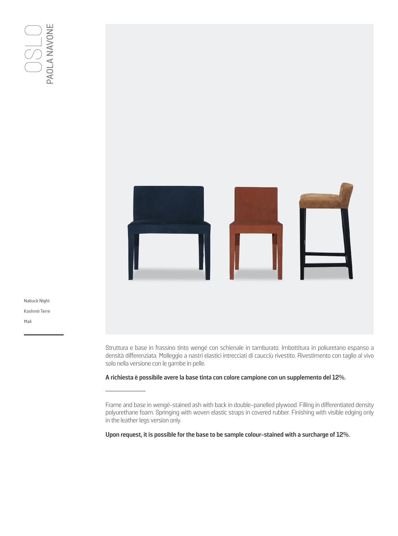

Nabuck Night Kashmir Terre Mali

> Struttura e base in frassino tinto wengé con schienale in tamburato. Imbottitura in poliuretano espanso a densità differenziata. Molleggio a nastri elastici intrecciati di caucciù rivestito. Rivestimento con taglio al vivo solo nella versione con le gambe in pelle.

**A richiesta è possibile avere la base tinta con colore campione con un supplemento del 12%.**

**Upon request, it is possible for the base to be sample colour-stained with a surcharge of 12%.**

Frame and base in wengé-stained ash with back in double-panelled plywood. Filling in differentiated density polyurethane foam. Springing with woven elastic straps in covered rubber. Finishing with visible edging only in the leather legs version only.